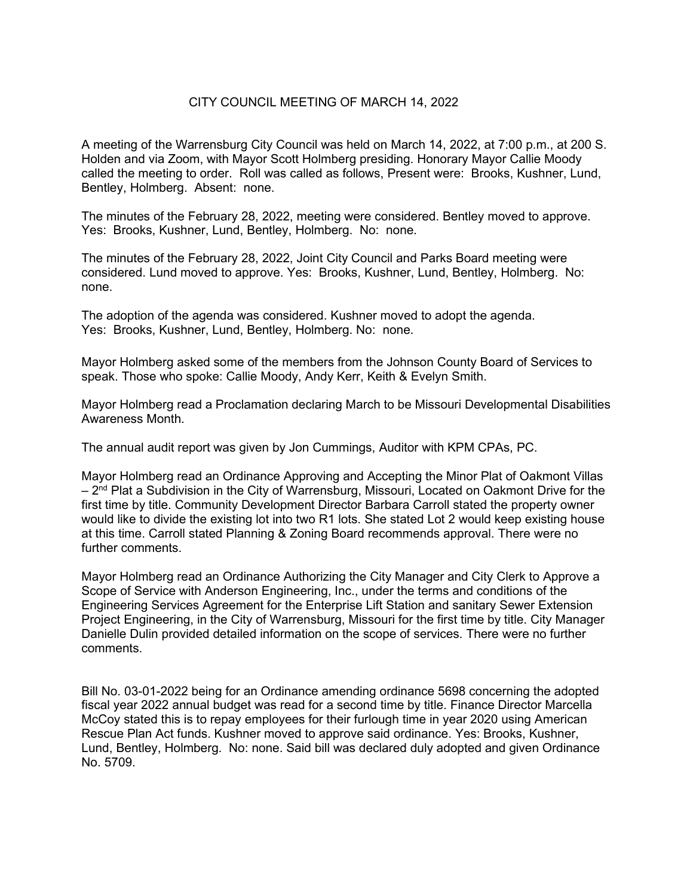## CITY COUNCIL MEETING OF MARCH 14, 2022

A meeting of the Warrensburg City Council was held on March 14, 2022, at 7:00 p.m., at 200 S. Holden and via Zoom, with Mayor Scott Holmberg presiding. Honorary Mayor Callie Moody called the meeting to order. Roll was called as follows, Present were: Brooks, Kushner, Lund, Bentley, Holmberg. Absent: none.

The minutes of the February 28, 2022, meeting were considered. Bentley moved to approve. Yes: Brooks, Kushner, Lund, Bentley, Holmberg. No: none.

The minutes of the February 28, 2022, Joint City Council and Parks Board meeting were considered. Lund moved to approve. Yes: Brooks, Kushner, Lund, Bentley, Holmberg. No: none.

The adoption of the agenda was considered. Kushner moved to adopt the agenda. Yes: Brooks, Kushner, Lund, Bentley, Holmberg. No: none.

Mayor Holmberg asked some of the members from the Johnson County Board of Services to speak. Those who spoke: Callie Moody, Andy Kerr, Keith & Evelyn Smith.

Mayor Holmberg read a Proclamation declaring March to be Missouri Developmental Disabilities Awareness Month.

The annual audit report was given by Jon Cummings, Auditor with KPM CPAs, PC.

Mayor Holmberg read an Ordinance Approving and Accepting the Minor Plat of Oakmont Villas  $-2<sup>nd</sup>$  Plat a Subdivision in the City of Warrensburg, Missouri, Located on Oakmont Drive for the first time by title. Community Development Director Barbara Carroll stated the property owner would like to divide the existing lot into two R1 lots. She stated Lot 2 would keep existing house at this time. Carroll stated Planning & Zoning Board recommends approval. There were no further comments.

Mayor Holmberg read an Ordinance Authorizing the City Manager and City Clerk to Approve a Scope of Service with Anderson Engineering, Inc., under the terms and conditions of the Engineering Services Agreement for the Enterprise Lift Station and sanitary Sewer Extension Project Engineering, in the City of Warrensburg, Missouri for the first time by title. City Manager Danielle Dulin provided detailed information on the scope of services. There were no further comments.

Bill No. 03-01-2022 being for an Ordinance amending ordinance 5698 concerning the adopted fiscal year 2022 annual budget was read for a second time by title. Finance Director Marcella McCoy stated this is to repay employees for their furlough time in year 2020 using American Rescue Plan Act funds. Kushner moved to approve said ordinance. Yes: Brooks, Kushner, Lund, Bentley, Holmberg. No: none. Said bill was declared duly adopted and given Ordinance No. 5709.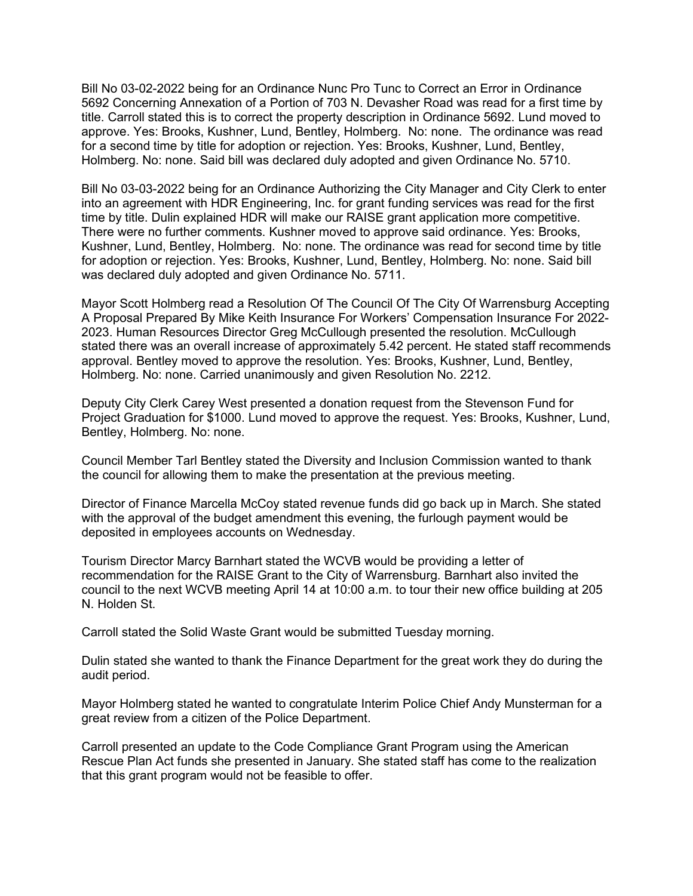Bill No 03-02-2022 being for an Ordinance Nunc Pro Tunc to Correct an Error in Ordinance 5692 Concerning Annexation of a Portion of 703 N. Devasher Road was read for a first time by title. Carroll stated this is to correct the property description in Ordinance 5692. Lund moved to approve. Yes: Brooks, Kushner, Lund, Bentley, Holmberg. No: none. The ordinance was read for a second time by title for adoption or rejection. Yes: Brooks, Kushner, Lund, Bentley, Holmberg. No: none. Said bill was declared duly adopted and given Ordinance No. 5710.

Bill No 03-03-2022 being for an Ordinance Authorizing the City Manager and City Clerk to enter into an agreement with HDR Engineering, Inc. for grant funding services was read for the first time by title. Dulin explained HDR will make our RAISE grant application more competitive. There were no further comments. Kushner moved to approve said ordinance. Yes: Brooks, Kushner, Lund, Bentley, Holmberg. No: none. The ordinance was read for second time by title for adoption or rejection. Yes: Brooks, Kushner, Lund, Bentley, Holmberg. No: none. Said bill was declared duly adopted and given Ordinance No. 5711.

Mayor Scott Holmberg read a Resolution Of The Council Of The City Of Warrensburg Accepting A Proposal Prepared By Mike Keith Insurance For Workers' Compensation Insurance For 2022- 2023. Human Resources Director Greg McCullough presented the resolution. McCullough stated there was an overall increase of approximately 5.42 percent. He stated staff recommends approval. Bentley moved to approve the resolution. Yes: Brooks, Kushner, Lund, Bentley, Holmberg. No: none. Carried unanimously and given Resolution No. 2212.

Deputy City Clerk Carey West presented a donation request from the Stevenson Fund for Project Graduation for \$1000. Lund moved to approve the request. Yes: Brooks, Kushner, Lund, Bentley, Holmberg. No: none.

Council Member Tarl Bentley stated the Diversity and Inclusion Commission wanted to thank the council for allowing them to make the presentation at the previous meeting.

Director of Finance Marcella McCoy stated revenue funds did go back up in March. She stated with the approval of the budget amendment this evening, the furlough payment would be deposited in employees accounts on Wednesday.

Tourism Director Marcy Barnhart stated the WCVB would be providing a letter of recommendation for the RAISE Grant to the City of Warrensburg. Barnhart also invited the council to the next WCVB meeting April 14 at 10:00 a.m. to tour their new office building at 205 N. Holden St.

Carroll stated the Solid Waste Grant would be submitted Tuesday morning.

Dulin stated she wanted to thank the Finance Department for the great work they do during the audit period.

Mayor Holmberg stated he wanted to congratulate Interim Police Chief Andy Munsterman for a great review from a citizen of the Police Department.

Carroll presented an update to the Code Compliance Grant Program using the American Rescue Plan Act funds she presented in January. She stated staff has come to the realization that this grant program would not be feasible to offer.